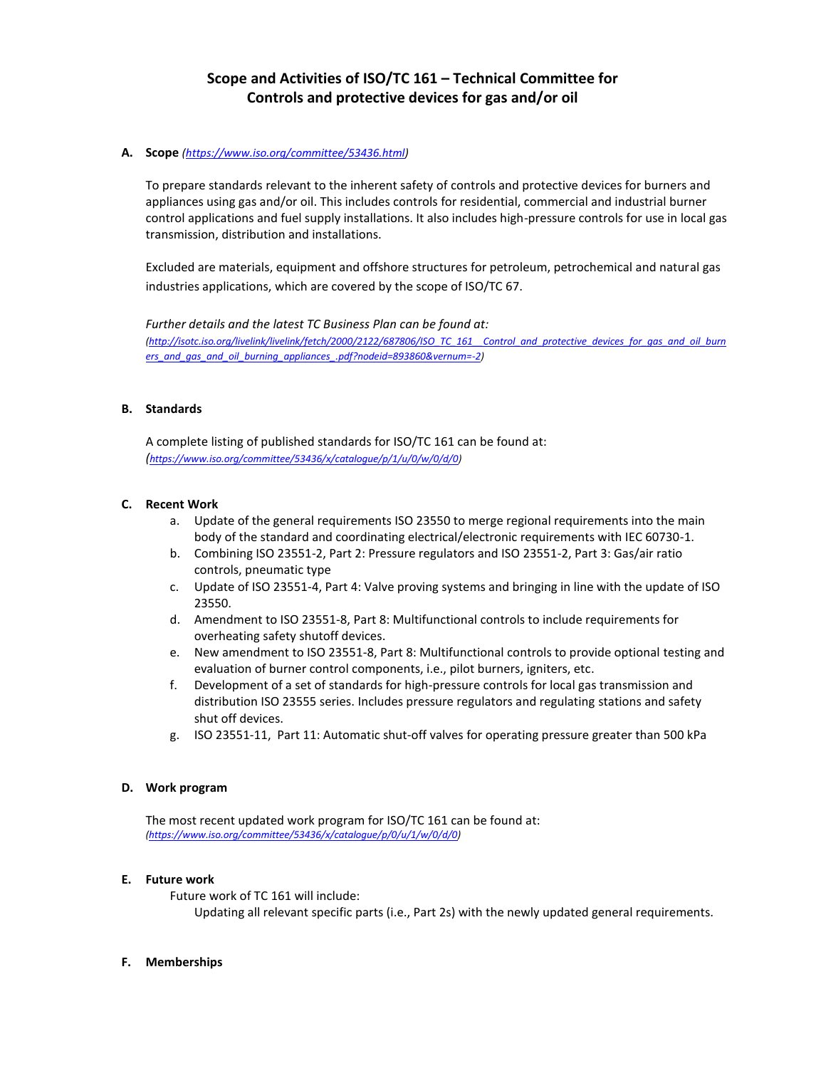# **Scope and Activities of ISO/TC 161 – Technical Committee for Controls and protective devices for gas and/or oil**

# **A. Scope** *[\(https://www.iso.org/committee/53436.html\)](https://www.iso.org/committee/53436.html)*

To prepare standards relevant to the inherent safety of controls and protective devices for burners and appliances using gas and/or oil. This includes controls for residential, commercial and industrial burner control applications and fuel supply installations. It also includes high-pressure controls for use in local gas transmission, distribution and installations.

Excluded are materials, equipment and offshore structures for petroleum, petrochemical and natural gas industries applications, which are covered by the scope of ISO/TC 67.

*Further details and the latest TC Business Plan can be found at: [\(http://isotc.iso.org/livelink/livelink/fetch/2000/2122/687806/ISO\\_TC\\_161\\_\\_Control\\_and\\_protective\\_devices\\_for\\_gas\\_and\\_oil\\_burn](http://isotc.iso.org/livelink/livelink/fetch/2000/2122/687806/ISO_TC_161__Control_and_protective_devices_for_gas_and_oil_burners_and_gas_and_oil_burning_appliances_.pdf?nodeid=893860&vernum=-2) [ers\\_and\\_gas\\_and\\_oil\\_burning\\_appliances\\_.pdf?nodeid=893860&vernum=-2\)](http://isotc.iso.org/livelink/livelink/fetch/2000/2122/687806/ISO_TC_161__Control_and_protective_devices_for_gas_and_oil_burners_and_gas_and_oil_burning_appliances_.pdf?nodeid=893860&vernum=-2)*

## **B. Standards**

A complete listing of published standards for ISO/TC 161 can be found at: *([https://www.iso.org/committee/53436/x/catalogue/p/1/u/0/w/0/d/0\)](https://www.iso.org/committee/53436/x/catalogue/p/1/u/0/w/0/d/0)*

## **C. Recent Work**

- a. Update of the general requirements ISO 23550 to merge regional requirements into the main body of the standard and coordinating electrical/electronic requirements with IEC 60730-1.
- b. Combining ISO 23551-2, Part 2: Pressure regulators and ISO 23551-2, Part 3: Gas/air ratio controls, pneumatic type
- c. Update of ISO 23551-4, Part 4: Valve proving systems and bringing in line with the update of ISO 23550.
- d. Amendment to ISO 23551-8, Part 8: Multifunctional controls to include requirements for overheating safety shutoff devices.
- e. New amendment to ISO 23551-8, Part 8: Multifunctional controls to provide optional testing and evaluation of burner control components, i.e., pilot burners, igniters, etc.
- f. Development of a set of standards for high-pressure controls for local gas transmission and distribution ISO 23555 series. Includes pressure regulators and regulating stations and safety shut off devices.
- g. ISO 23551-11, Part 11: Automatic shut-off valves for operating pressure greater than 500 kPa

#### **D. Work program**

The most recent updated work program for ISO/TC 161 can be found at: *[\(https://www.iso.org/committee/53436/x/catalogue/p/0/u/1/w/0/d/0\)](https://www.iso.org/committee/53436/x/catalogue/p/0/u/1/w/0/d/0)*

#### **E. Future work**

Future work of TC 161 will include: Updating all relevant specific parts (i.e., Part 2s) with the newly updated general requirements.

#### **F. Memberships**